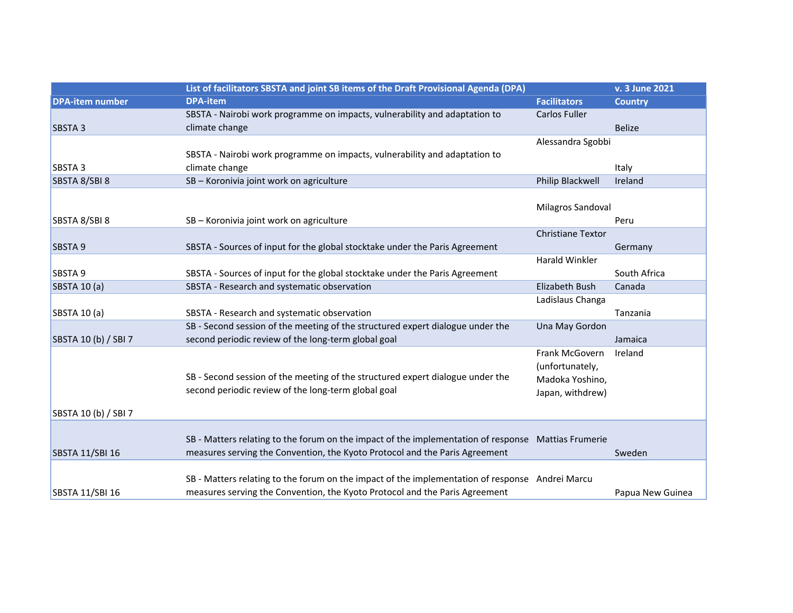|                        | List of facilitators SBSTA and joint SB items of the Draft Provisional Agenda (DPA)                 |                          | v. 3 June 2021   |
|------------------------|-----------------------------------------------------------------------------------------------------|--------------------------|------------------|
| <b>DPA-item number</b> | <b>DPA-item</b>                                                                                     | <b>Facilitators</b>      | <b>Country</b>   |
|                        | SBSTA - Nairobi work programme on impacts, vulnerability and adaptation to                          | <b>Carlos Fuller</b>     |                  |
| <b>SBSTA3</b>          | climate change                                                                                      |                          | <b>Belize</b>    |
|                        |                                                                                                     | Alessandra Sgobbi        |                  |
|                        | SBSTA - Nairobi work programme on impacts, vulnerability and adaptation to                          |                          |                  |
| SBSTA <sub>3</sub>     | climate change                                                                                      |                          | Italy            |
| SBSTA 8/SBI 8          | SB - Koronivia joint work on agriculture                                                            | Philip Blackwell         | Ireland          |
|                        |                                                                                                     |                          |                  |
|                        |                                                                                                     | Milagros Sandoval        |                  |
| SBSTA 8/SBI 8          | SB - Koronivia joint work on agriculture                                                            |                          | Peru             |
|                        |                                                                                                     | <b>Christiane Textor</b> |                  |
| SBSTA 9                | SBSTA - Sources of input for the global stocktake under the Paris Agreement                         |                          | Germany          |
|                        |                                                                                                     | <b>Harald Winkler</b>    |                  |
| SBSTA 9                | SBSTA - Sources of input for the global stocktake under the Paris Agreement                         |                          | South Africa     |
| SBSTA 10 (a)           | SBSTA - Research and systematic observation                                                         | Elizabeth Bush           | Canada           |
|                        |                                                                                                     | Ladislaus Changa         |                  |
| SBSTA 10 (a)           | SBSTA - Research and systematic observation                                                         |                          | Tanzania         |
|                        | SB - Second session of the meeting of the structured expert dialogue under the                      | Una May Gordon           |                  |
| SBSTA 10 (b) / SBI 7   | second periodic review of the long-term global goal                                                 |                          | Jamaica          |
|                        |                                                                                                     | Frank McGovern           | Ireland          |
|                        |                                                                                                     | (unfortunately,          |                  |
|                        | SB - Second session of the meeting of the structured expert dialogue under the                      | Madoka Yoshino,          |                  |
|                        | second periodic review of the long-term global goal                                                 | Japan, withdrew)         |                  |
| SBSTA 10 (b) / SBI 7   |                                                                                                     |                          |                  |
|                        |                                                                                                     |                          |                  |
|                        | SB - Matters relating to the forum on the impact of the implementation of response Mattias Frumerie |                          |                  |
| <b>SBSTA 11/SBI 16</b> | measures serving the Convention, the Kyoto Protocol and the Paris Agreement                         |                          | Sweden           |
|                        |                                                                                                     |                          |                  |
|                        | SB - Matters relating to the forum on the impact of the implementation of response Andrei Marcu     |                          |                  |
| <b>SBSTA 11/SBI 16</b> | measures serving the Convention, the Kyoto Protocol and the Paris Agreement                         |                          | Papua New Guinea |